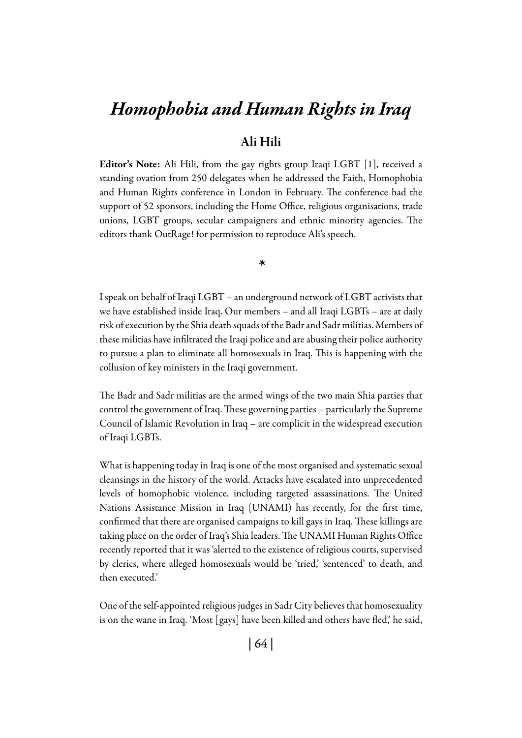# *Homophobia and Human Rights in Iraq*

## Ali Hili

Editor's Note: Ali Hili, from the gay rights group Iraqi LGBT [1], received a standing ovation from 250 delegates when he addressed the Faith, Homophobia and Human Rights conference in London in February. The conference had the support of 52 sponsors, including the Home Office, religious organisations, trade unions, LGBT groups, secular campaigners and ethnic minority agencies. The editors thank OutRage! for permission to reproduce Ali's speech.

*\**

I speak on behalf of Iraqi LGBT – an underground network of LGBT activists that we have established inside Iraq. Our members – and all Iraqi LGBTs – are at daily risk of execution by the Shia death squads of the Badr and Sadr militias. Members of these militias have infiltrated the Iraqi police and are abusing their police authority to pursue a plan to eliminate all homosexuals in Iraq. This is happening with the collusion of key ministers in the Iraqi government.

The Badr and Sadr militias are the armed wings of the two main Shia parties that control the government of Iraq. These governing parties – particularly the Supreme Council of Islamic Revolution in Iraq – are complicit in the widespread execution of Iraqi LGBTs.

What is happening today in Iraq is one of the most organised and systematic sexual cleansings in the history of the world. Attacks have escalated into unprecedented levels of homophobic violence, including targeted assassinations. The United Nations Assistance Mission in Iraq (UNAMI) has recently, for the first time, confirmed that there are organised campaigns to kill gays in Iraq. These killings are taking place on the order of Iraq's Shia leaders. The UNAMI Human Rights Office recently reported that it was 'alerted to the existence of religious courts, supervised by clerics, where alleged homosexuals would be 'tried,' 'sentenced' to death, and then executed.'

One of the self-appointed religious judges in Sadr City believes that homosexuality is on the wane in Iraq. 'Most [gays] have been killed and others have fled,' he said,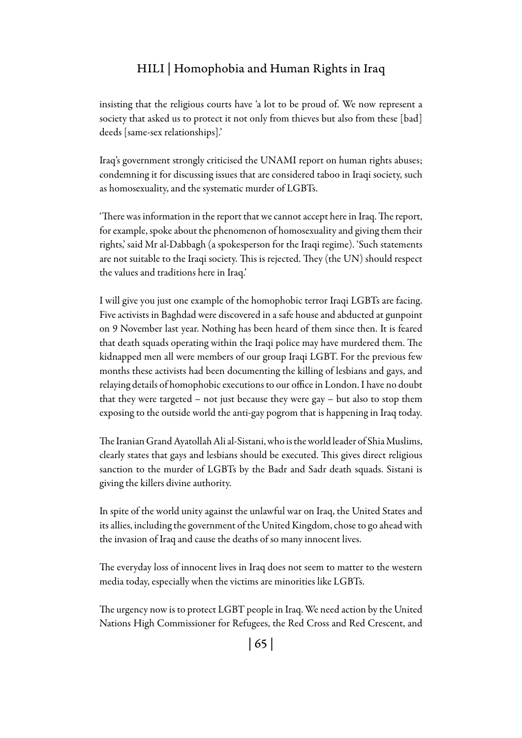#### Hili | Homophobia and Human Rights in Iraq

insisting that the religious courts have 'a lot to be proud of. We now represent a society that asked us to protect it not only from thieves but also from these [bad] deeds [same-sex relationships].'

Iraq's government strongly criticised the UNAMI report on human rights abuses; condemning it for discussing issues that are considered taboo in Iraqi society, such as homosexuality, and the systematic murder of LGBTs.

'There was information in the report that we cannot accept here in Iraq. The report, for example, spoke about the phenomenon of homosexuality and giving them their rights,' said Mr al-Dabbagh (a spokesperson for the Iraqi regime). 'Such statements are not suitable to the Iraqi society. This is rejected. They (the UN) should respect the values and traditions here in Iraq.'

I will give you just one example of the homophobic terror Iraqi LGBTs are facing. Five activists in Baghdad were discovered in a safe house and abducted at gunpoint on 9 November last year. Nothing has been heard of them since then. It is feared that death squads operating within the Iraqi police may have murdered them. The kidnapped men all were members of our group Iraqi LGBT. For the previous few months these activists had been documenting the killing of lesbians and gays, and relaying details of homophobic executions to our office in London. I have no doubt that they were targeted – not just because they were gay – but also to stop them exposing to the outside world the anti-gay pogrom that is happening in Iraq today.

The Iranian Grand Ayatollah Ali al-Sistani, who is the world leader of Shia Muslims, clearly states that gays and lesbians should be executed. This gives direct religious sanction to the murder of LGBTs by the Badr and Sadr death squads. Sistani is giving the killers divine authority.

In spite of the world unity against the unlawful war on Iraq, the United States and its allies, including the government of the United Kingdom, chose to go ahead with the invasion of Iraq and cause the deaths of so many innocent lives.

The everyday loss of innocent lives in Iraq does not seem to matter to the western media today, especially when the victims are minorities like LGBTs.

The urgency now is to protect LGBT people in Iraq. We need action by the United Nations High Commissioner for Refugees, the Red Cross and Red Crescent, and